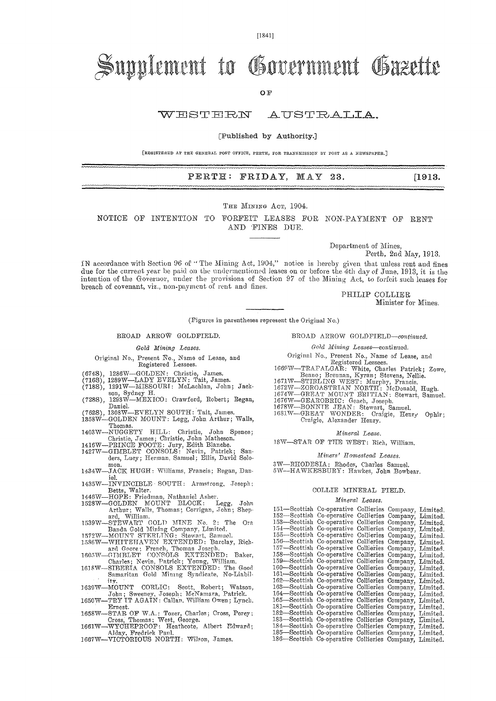# Supplement to Government Gazette

OF

### WESTERN AUSTRALIA.

#### [Published by Authority.]

[REGISTERED AT THE GENERAL POST OFFICE, PERTH, FOR TRANSMISSION BY POST AS A NEWSPAPER.]

#### PERTH: FRIDAY, MAY 23. [1913.]

#### THE MINING ACT, 1904.

NOTICE OF INTENTION TO FORFEIT LEASES FOR NON-PAYMENT OF RENT AND TINES DUE.

Department of Mines,

Perth, 2nd May, 1913.

IN accordance with Section 96 of " The Mining Act, 1904," notice is hereby given that unless rent and fines due for the current year be paid on the undermentioned leases on or before the 4th day of June, 1913, it is the intention of the Governor, under the provisions of Section 97 of the Mining Act, to forfeit such leases for breach of covenant, viz., non-payment of rent and fines.

> PHILIP COLLIER Minister for Mines.

(Figures in parentheses represent the Original No.)

#### BROAD ARROW GOLDFIELD.

*Gold Mining Leases.* 

- Original No., Present No., Name of Lease, and Registered Lessees.
- 
- 
- (674S), 1286W—GOLDEN: Christie, James. (7168), 1289W—LADY EVELYN: Tait, James. (7185), 1291W—MISSOURI: McLachlan, John; Jack-
- son, Sydney H. (728S), 1293W—MEXICO: Crawford, Robert; Regan, Daniel.
- 
- (762S), 1308W—EVELYN SOUTH: Tait, James. 1358W—GOLDEN MOUNT: Legg, John Arthur; Walls, Thomas.
- 1403W—NUGGETY HILL: Christie, John Spence;<br>
Christie, James; Christie, John Matheson.<br>
1416W—PRINCE FOOTE: Jury, Edith Blanche.<br>
1427W—GIMBLET CONSOLS: Nevin, Patrick; San-
- 
- ders, Lucy; Herman, Samuel; Ellis, David Solomon.
- 1434W—JACK HUGH: Williams, Francis; Regan, Daniel.<br>-INVINCIBLE SOUTH: Armstrong, Joseph;
- 1435W—INVINCIBLE SOUTH: Armstrong, Joseph;
- 
- Betts, Walter.<br>1446W-HOPE: Friedman, Nathaniel Asher.<br>1528W-GOLDEN MOUNT BLOCK: Legg, John<br>Arthur; Walls, Thomas; Corrigan, John; Shep-<br>ard, William.<br>1539W-STEWART GOLD MINE No. 2: The Ora<br>2539W-STEWART GOLD MINE No. 2: Th
- 
- 
- 
- 
- 
- ity. 1630W—MOUNT CORLIC: Scott, Robert; Watson, John; Sweeney, Joseph; McNamara, Patrick. 1650W—TRY TT AGATN: Callan. William Owen; Lynch,
- Ernest.
- 1658W—STAR OF W.A.: Tozer, Charles; Cross, Percy;<br>
Cross, Thomas; West, George.<br>
1661W—WYCHEPROOF: Heathcote, Albert Fdward;<br>
1667W—VICTORIOUS NORTH: Wilson, James.
- 
- 

BROAD ARROW GOLDFIELD—continued.

#### *Gold Mining* Leases—continued.

Original No., Present No., Name of Lease, and Registered Lessees.

- 1669W—TRAFALGAR: White, Charles Patrick; Zowe,
- 
- 
- 
- 
- 
- Benno; Brennan, Kyran; Stevens, Nellie.<br>1671W-STIRLING WEST: Murphy, Francis.<br>1672W-ZOROASTRIAN NORTH: McDonald, Hugh.<br>1674W-GREAT MOUNT BRITIAN: Stewart, Samuel.<br>1676W-GEAROBRIC: Geach, Joseph.<br>1678W-BONNIE JEAN: Stewart, Craigie, Alexander Henry.

#### *Mineral Lease.*

18W—STAR OF THE WEST: Rich, William.

#### *Miners' Homestead Leases.*

3W—RHODESIA: Rhodes, Charles Samuel.

5W-HAWKESBURY: Hawkes, John Bowbear.

#### COLLIE MINERAL FIELD.

#### *Mineral Leases.*

| 151-Scottish Co-operative Collieries Company, Limited. |                                           |  |  |
|--------------------------------------------------------|-------------------------------------------|--|--|
| 152-Seottish Co-operative Collieries Company, Limited. |                                           |  |  |
| 153-Scottish Co-operative Collieries Company, Limited. |                                           |  |  |
| 154-Scottish Co-operative Collieries Company, Limited. |                                           |  |  |
| 155—Scottish                                           | Co-operative Collieries Company, Limited. |  |  |
| 156——Seottish                                          | Co-operative Collieries Company, Limited. |  |  |
| 157—Scottish                                           | Co-operative Collieries Company, Limited. |  |  |
| 158—Scottish                                           | Co-operative Collieries Company, Limited. |  |  |
| 159—Scottish                                           | Co-operative Collieries Company, Limited. |  |  |
| $160$ —Scottish                                        | Co-operative Collieries Company, Limited. |  |  |
| 161—Scottish                                           | Co-operative Collieries Company, Limited. |  |  |
| 162—Scottish                                           | Co-operative Collieries Company, Limited. |  |  |
| 163—Scottish                                           | Co-operative Collieries Company, Limited. |  |  |
| 164—Scottish                                           | Co-operative Collieries Company, Limited. |  |  |
| 165—Scottish                                           | Co-operative Collieries Company, Limited. |  |  |
| 181—Scottish                                           | Co-operative Collieries Company, Limited. |  |  |
| 182-Scottish Co-operative Collieries Company, Limited. |                                           |  |  |
| 183—Scottish Co-operative Collieries Company, Limited. |                                           |  |  |
| 184 Scottish Co-operative Collieries Company, Limited. |                                           |  |  |
| 185—Scottish Co-operative Collieries Company, Limited. |                                           |  |  |
| 186—Scottish Co-operative Collieries Company, Limited. |                                           |  |  |